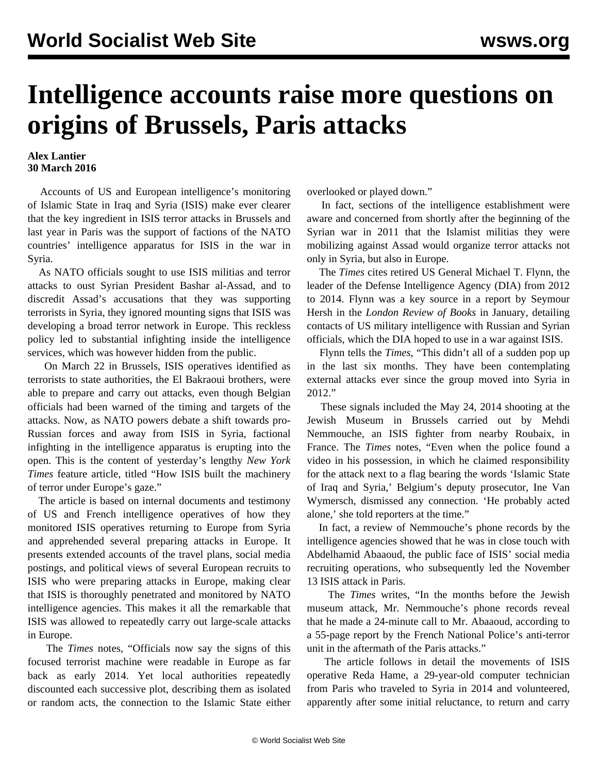## **Intelligence accounts raise more questions on origins of Brussels, Paris attacks**

## **Alex Lantier 30 March 2016**

 Accounts of US and European intelligence's monitoring of Islamic State in Iraq and Syria (ISIS) make ever clearer that the key ingredient in ISIS terror attacks in Brussels and last year in Paris was the support of factions of the NATO countries' intelligence apparatus for ISIS in the war in Syria.

 As NATO officials sought to use ISIS militias and terror attacks to oust Syrian President Bashar al-Assad, and to discredit Assad's accusations that they was supporting terrorists in Syria, they ignored mounting signs that ISIS was developing a broad terror network in Europe. This reckless policy led to substantial infighting inside the intelligence services, which was however hidden from the public.

 On March 22 in Brussels, ISIS operatives identified as terrorists to state authorities, the El Bakraoui brothers, were able to prepare and carry out attacks, even though Belgian officials had been warned of the timing and targets of the attacks. Now, as NATO powers debate a shift towards pro-Russian forces and away from ISIS in Syria, factional infighting in the intelligence apparatus is erupting into the open. This is the content of yesterday's lengthy *New York Times* feature article, titled "How ISIS built the machinery of terror under Europe's gaze."

 The article is based on internal documents and testimony of US and French intelligence operatives of how they monitored ISIS operatives returning to Europe from Syria and apprehended several preparing attacks in Europe. It presents extended accounts of the travel plans, social media postings, and political views of several European recruits to ISIS who were preparing attacks in Europe, making clear that ISIS is thoroughly penetrated and monitored by NATO intelligence agencies. This makes it all the remarkable that ISIS was allowed to repeatedly carry out large-scale attacks in Europe.

 The *Times* notes, "Officials now say the signs of this focused terrorist machine were readable in Europe as far back as early 2014. Yet local authorities repeatedly discounted each successive plot, describing them as isolated or random acts, the connection to the Islamic State either overlooked or played down."

 In fact, sections of the intelligence establishment were aware and concerned from shortly after the beginning of the Syrian war in 2011 that the Islamist militias they were mobilizing against Assad would organize terror attacks not only in Syria, but also in Europe.

 The *Times* cites retired US General Michael T. Flynn, the leader of the Defense Intelligence Agency (DIA) from 2012 to 2014. Flynn was a key source in a report by Seymour Hersh in the *London Review of Books* in January, detailing contacts of US military intelligence with Russian and Syrian officials, which the DIA hoped to use in a war against ISIS.

 Flynn tells the *Times*, "This didn't all of a sudden pop up in the last six months. They have been contemplating external attacks ever since the group moved into Syria in 2012."

 These signals included the May 24, 2014 shooting at the Jewish Museum in Brussels carried out by Mehdi Nemmouche, an ISIS fighter from nearby Roubaix, in France. The *Times* notes, "Even when the police found a video in his possession, in which he claimed responsibility for the attack next to a flag bearing the words 'Islamic State of Iraq and Syria,' Belgium's deputy prosecutor, Ine Van Wymersch, dismissed any connection. 'He probably acted alone,' she told reporters at the time."

 In fact, a review of Nemmouche's phone records by the intelligence agencies showed that he was in close touch with Abdelhamid Abaaoud, the public face of ISIS' social media recruiting operations, who subsequently led the November 13 ISIS attack in Paris.

 The *Times* writes, "In the months before the Jewish museum attack, Mr. Nemmouche's phone records reveal that he made a 24-minute call to Mr. Abaaoud, according to a 55-page report by the French National Police's anti-terror unit in the aftermath of the Paris attacks."

 The article follows in detail the movements of ISIS operative Reda Hame, a 29-year-old computer technician from Paris who traveled to Syria in 2014 and volunteered, apparently after some initial reluctance, to return and carry